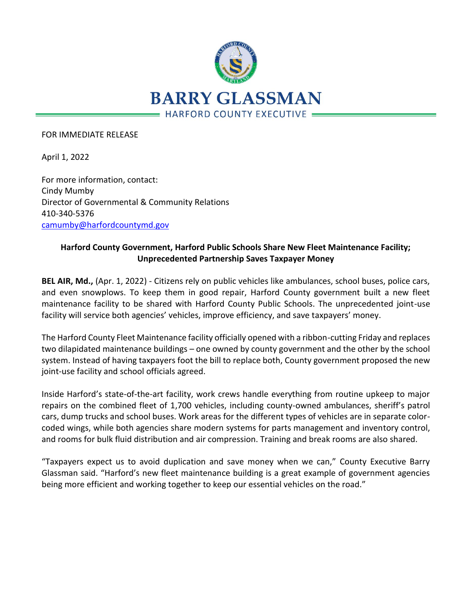

## FOR IMMEDIATE RELEASE

April 1, 2022

For more information, contact: Cindy Mumby Director of Governmental & Community Relations 410-340-5376 [camumby@harfordcountymd.gov](mailto:camumby@harfordcountymd.gov)

## **Harford County Government, Harford Public Schools Share New Fleet Maintenance Facility; Unprecedented Partnership Saves Taxpayer Money**

**BEL AIR, Md.,** (Apr. 1, 2022) - Citizens rely on public vehicles like ambulances, school buses, police cars, and even snowplows. To keep them in good repair, Harford County government built a new fleet maintenance facility to be shared with Harford County Public Schools. The unprecedented joint-use facility will service both agencies' vehicles, improve efficiency, and save taxpayers' money.

The Harford County Fleet Maintenance facility officially opened with a ribbon-cutting Friday and replaces two dilapidated maintenance buildings – one owned by county government and the other by the school system. Instead of having taxpayers foot the bill to replace both, County government proposed the new joint-use facility and school officials agreed.

Inside Harford's state-of-the-art facility, work crews handle everything from routine upkeep to major repairs on the combined fleet of 1,700 vehicles, including county-owned ambulances, sheriff's patrol cars, dump trucks and school buses. Work areas for the different types of vehicles are in separate colorcoded wings, while both agencies share modern systems for parts management and inventory control, and rooms for bulk fluid distribution and air compression. Training and break rooms are also shared.

"Taxpayers expect us to avoid duplication and save money when we can," County Executive Barry Glassman said. "Harford's new fleet maintenance building is a great example of government agencies being more efficient and working together to keep our essential vehicles on the road."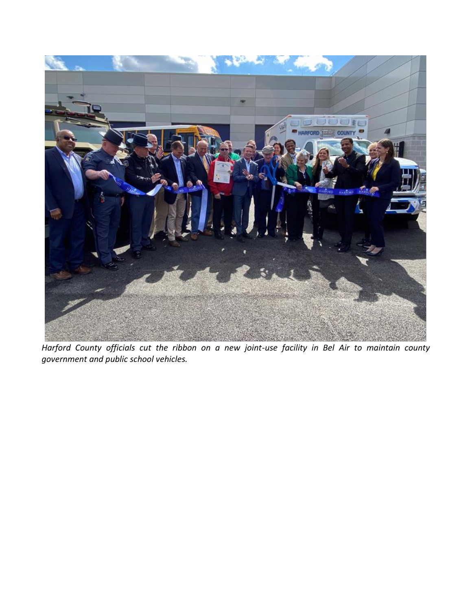

*Harford County officials cut the ribbon on a new joint-use facility in Bel Air to maintain county government and public school vehicles.*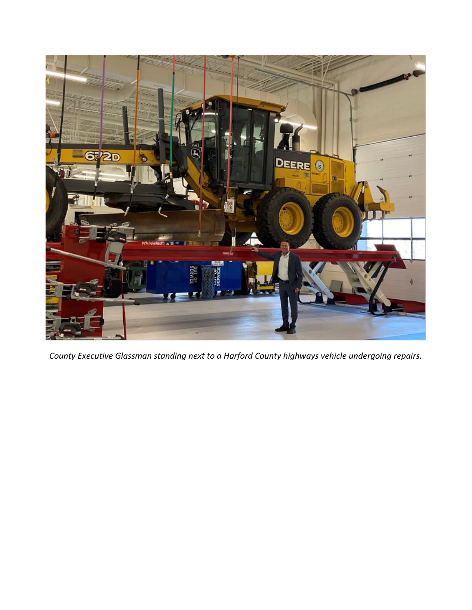

*County Executive Glassman standing next to a Harford County highways vehicle undergoing repairs.*